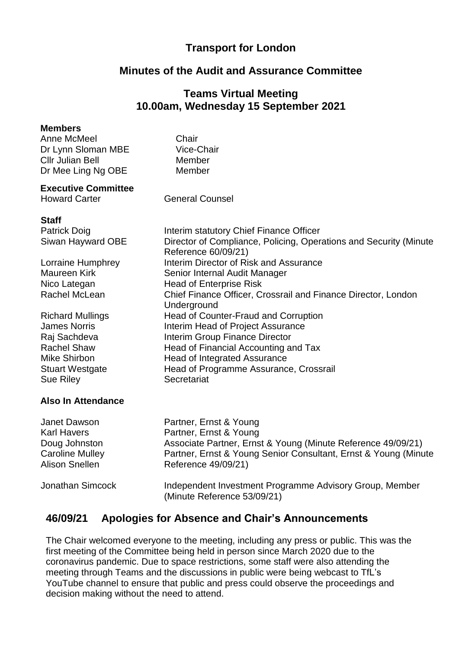### **Transport for London**

### **Minutes of the Audit and Assurance Committee**

### **Teams Virtual Meeting 10.00am, Wednesday 15 September 2021**

Interim statutory Chief Finance Officer

Head of Counter-Fraud and Corruption Interim Head of Project Assurance Interim Group Finance Director

Head of Programme Assurance, Crossrail

Director of Compliance, Policing, Operations and Security (Minute

Chief Finance Officer, Crossrail and Finance Director, London

#### **Members**

Anne McMeel Dr Lynn Sloman MBE Cllr Julian Bell Dr Mee Ling Ng OBE Member

**Chair** Vice-Chair Member

Reference 60/09/21)

**Underground** 

Head of Enterprise Risk

Senior Internal Audit Manager

Head of Integrated Assurance

#### **Executive Committee**

Howard Carter **General Counsel** 

# **Staff**

Patrick Doig Siwan Hayward OBE

Lorraine Humphrey **Interim Director of Risk and Assurance** Maureen Kirk Nico Lategan Rachel McLean

Richard Mullings James Norris Raj Sachdeva Rachel Shaw **Head of Financial Accounting and Tax** Mike Shirbon **Stuart Westgate** Sue Riley Secretariat

#### **Also In Attendance**

| Janet Dawson           | Partner, Ernst & Young                                                                 |
|------------------------|----------------------------------------------------------------------------------------|
| Karl Havers            | Partner, Ernst & Young                                                                 |
| Doug Johnston          | Associate Partner, Ernst & Young (Minute Reference 49/09/21)                           |
| <b>Caroline Mulley</b> | Partner, Ernst & Young Senior Consultant, Ernst & Young (Minute)                       |
| Alison Snellen         | Reference 49/09/21)                                                                    |
| Jonathan Simcock       | Independent Investment Programme Advisory Group, Member<br>(Minute Reference 53/09/21) |

# **46/09/21 Apologies for Absence and Chair's Announcements**

The Chair welcomed everyone to the meeting, including any press or public. This was the first meeting of the Committee being held in person since March 2020 due to the coronavirus pandemic. Due to space restrictions, some staff were also attending the meeting through Teams and the discussions in public were being webcast to TfL's YouTube channel to ensure that public and press could observe the proceedings and decision making without the need to attend.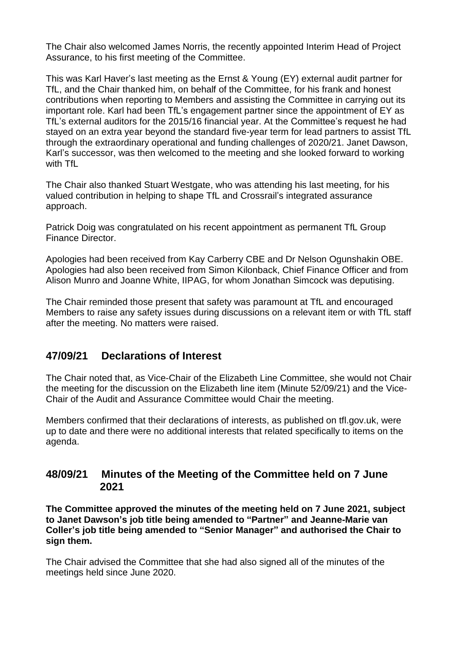The Chair also welcomed James Norris, the recently appointed Interim Head of Project Assurance, to his first meeting of the Committee.

This was Karl Haver's last meeting as the Ernst & Young (EY) external audit partner for TfL, and the Chair thanked him, on behalf of the Committee, for his frank and honest contributions when reporting to Members and assisting the Committee in carrying out its important role. Karl had been TfL's engagement partner since the appointment of EY as TfL's external auditors for the 2015/16 financial year. At the Committee's request he had stayed on an extra year beyond the standard five-year term for lead partners to assist TfL through the extraordinary operational and funding challenges of 2020/21. Janet Dawson, Karl's successor, was then welcomed to the meeting and she looked forward to working with TfL

The Chair also thanked Stuart Westgate, who was attending his last meeting, for his valued contribution in helping to shape TfL and Crossrail's integrated assurance approach.

Patrick Doig was congratulated on his recent appointment as permanent TfL Group Finance Director.

Apologies had been received from Kay Carberry CBE and Dr Nelson Ogunshakin OBE. Apologies had also been received from Simon Kilonback, Chief Finance Officer and from Alison Munro and Joanne White, IIPAG, for whom Jonathan Simcock was deputising.

The Chair reminded those present that safety was paramount at TfL and encouraged Members to raise any safety issues during discussions on a relevant item or with TfL staff after the meeting. No matters were raised.

### **47/09/21 Declarations of Interest**

The Chair noted that, as Vice-Chair of the Elizabeth Line Committee, she would not Chair the meeting for the discussion on the Elizabeth line item (Minute 52/09/21) and the Vice-Chair of the Audit and Assurance Committee would Chair the meeting.

Members confirmed that their declarations of interests, as published on tfl.gov.uk, were up to date and there were no additional interests that related specifically to items on the agenda.

### **48/09/21 Minutes of the Meeting of the Committee held on 7 June 2021**

**The Committee approved the minutes of the meeting held on 7 June 2021, subject to Janet Dawson's job title being amended to "Partner" and Jeanne-Marie van Coller's job title being amended to "Senior Manager" and authorised the Chair to sign them.**

The Chair advised the Committee that she had also signed all of the minutes of the meetings held since June 2020.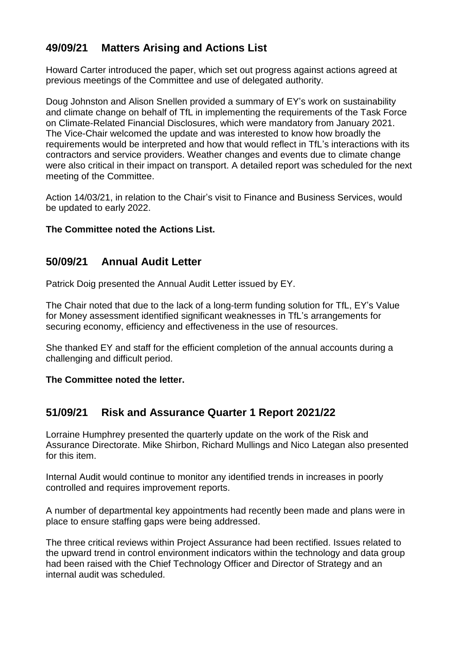# **49/09/21 Matters Arising and Actions List**

Howard Carter introduced the paper, which set out progress against actions agreed at previous meetings of the Committee and use of delegated authority.

Doug Johnston and Alison Snellen provided a summary of EY's work on sustainability and climate change on behalf of TfL in implementing the requirements of the Task Force on Climate-Related Financial Disclosures, which were mandatory from January 2021. The Vice-Chair welcomed the update and was interested to know how broadly the requirements would be interpreted and how that would reflect in TfL's interactions with its contractors and service providers. Weather changes and events due to climate change were also critical in their impact on transport. A detailed report was scheduled for the next meeting of the Committee.

Action 14/03/21, in relation to the Chair's visit to Finance and Business Services, would be updated to early 2022.

#### **The Committee noted the Actions List.**

### **50/09/21 Annual Audit Letter**

Patrick Doig presented the Annual Audit Letter issued by EY.

The Chair noted that due to the lack of a long-term funding solution for TfL, EY's Value for Money assessment identified significant weaknesses in TfL's arrangements for securing economy, efficiency and effectiveness in the use of resources.

She thanked EY and staff for the efficient completion of the annual accounts during a challenging and difficult period.

**The Committee noted the letter.**

# **51/09/21 Risk and Assurance Quarter 1 Report 2021/22**

Lorraine Humphrey presented the quarterly update on the work of the Risk and Assurance Directorate. Mike Shirbon, Richard Mullings and Nico Lategan also presented for this item.

Internal Audit would continue to monitor any identified trends in increases in poorly controlled and requires improvement reports.

A number of departmental key appointments had recently been made and plans were in place to ensure staffing gaps were being addressed.

The three critical reviews within Project Assurance had been rectified. Issues related to the upward trend in control environment indicators within the technology and data group had been raised with the Chief Technology Officer and Director of Strategy and an internal audit was scheduled.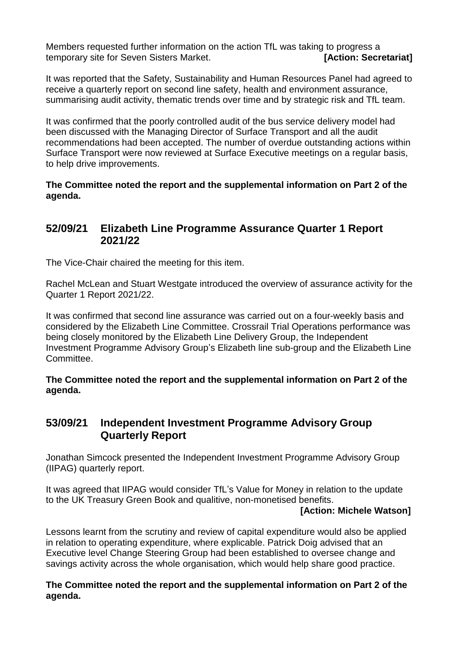Members requested further information on the action TfL was taking to progress a temporary site for Seven Sisters Market. **[Action: Secretariat]**

It was reported that the Safety, Sustainability and Human Resources Panel had agreed to receive a quarterly report on second line safety, health and environment assurance, summarising audit activity, thematic trends over time and by strategic risk and TfL team.

It was confirmed that the poorly controlled audit of the bus service delivery model had been discussed with the Managing Director of Surface Transport and all the audit recommendations had been accepted. The number of overdue outstanding actions within Surface Transport were now reviewed at Surface Executive meetings on a regular basis, to help drive improvements.

**The Committee noted the report and the supplemental information on Part 2 of the agenda.**

### **52/09/21 Elizabeth Line Programme Assurance Quarter 1 Report 2021/22**

The Vice-Chair chaired the meeting for this item.

Rachel McLean and Stuart Westgate introduced the overview of assurance activity for the Quarter 1 Report 2021/22.

It was confirmed that second line assurance was carried out on a four-weekly basis and considered by the Elizabeth Line Committee. Crossrail Trial Operations performance was being closely monitored by the Elizabeth Line Delivery Group, the Independent Investment Programme Advisory Group's Elizabeth line sub-group and the Elizabeth Line Committee.

**The Committee noted the report and the supplemental information on Part 2 of the agenda.**

### **53/09/21 Independent Investment Programme Advisory Group Quarterly Report**

Jonathan Simcock presented the Independent Investment Programme Advisory Group (IIPAG) quarterly report.

It was agreed that IIPAG would consider TfL's Value for Money in relation to the update to the UK Treasury Green Book and qualitive, non-monetised benefits.

#### **[Action: Michele Watson]**

Lessons learnt from the scrutiny and review of capital expenditure would also be applied in relation to operating expenditure, where explicable. Patrick Doig advised that an Executive level Change Steering Group had been established to oversee change and savings activity across the whole organisation, which would help share good practice.

**The Committee noted the report and the supplemental information on Part 2 of the agenda.**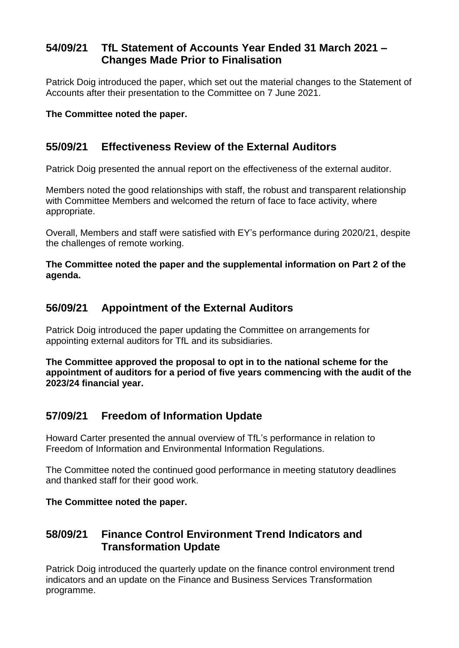# **54/09/21 TfL Statement of Accounts Year Ended 31 March 2021 – Changes Made Prior to Finalisation**

Patrick Doig introduced the paper, which set out the material changes to the Statement of Accounts after their presentation to the Committee on 7 June 2021.

#### **The Committee noted the paper.**

### **55/09/21 Effectiveness Review of the External Auditors**

Patrick Doig presented the annual report on the effectiveness of the external auditor.

Members noted the good relationships with staff, the robust and transparent relationship with Committee Members and welcomed the return of face to face activity, where appropriate.

Overall, Members and staff were satisfied with EY's performance during 2020/21, despite the challenges of remote working.

**The Committee noted the paper and the supplemental information on Part 2 of the agenda.**

# **56/09/21 Appointment of the External Auditors**

Patrick Doig introduced the paper updating the Committee on arrangements for appointing external auditors for TfL and its subsidiaries.

**The Committee approved the proposal to opt in to the national scheme for the appointment of auditors for a period of five years commencing with the audit of the 2023/24 financial year.**

# **57/09/21 Freedom of Information Update**

Howard Carter presented the annual overview of TfL's performance in relation to Freedom of Information and Environmental Information Regulations.

The Committee noted the continued good performance in meeting statutory deadlines and thanked staff for their good work.

#### **The Committee noted the paper.**

### **58/09/21 Finance Control Environment Trend Indicators and Transformation Update**

Patrick Doig introduced the quarterly update on the finance control environment trend indicators and an update on the Finance and Business Services Transformation programme.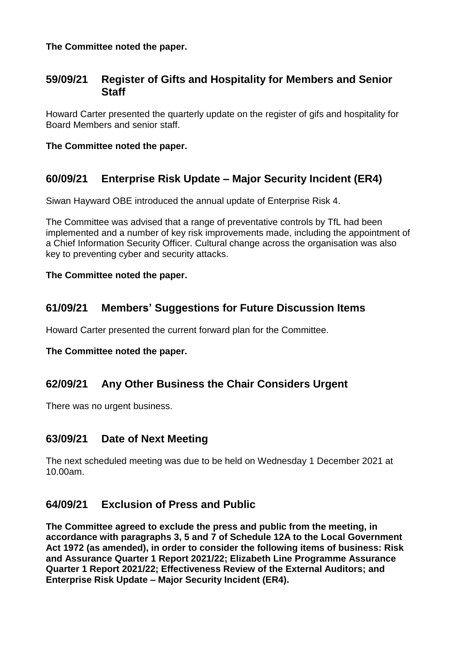#### **The Committee noted the paper.**

### **59/09/21 Register of Gifts and Hospitality for Members and Senior Staff**

Howard Carter presented the quarterly update on the register of gifs and hospitality for Board Members and senior staff.

#### **The Committee noted the paper.**

# **60/09/21 Enterprise Risk Update – Major Security Incident (ER4)**

Siwan Hayward OBE introduced the annual update of Enterprise Risk 4.

The Committee was advised that a range of preventative controls by TfL had been implemented and a number of key risk improvements made, including the appointment of a Chief Information Security Officer. Cultural change across the organisation was also key to preventing cyber and security attacks.

#### **The Committee noted the paper.**

### **61/09/21 Members' Suggestions for Future Discussion Items**

Howard Carter presented the current forward plan for the Committee.

**The Committee noted the paper.**

# **62/09/21 Any Other Business the Chair Considers Urgent**

There was no urgent business.

### **63/09/21 Date of Next Meeting**

The next scheduled meeting was due to be held on Wednesday 1 December 2021 at 10.00am.

### **64/09/21 Exclusion of Press and Public**

**The Committee agreed to exclude the press and public from the meeting, in accordance with paragraphs 3, 5 and 7 of Schedule 12A to the Local Government Act 1972 (as amended), in order to consider the following items of business: Risk and Assurance Quarter 1 Report 2021/22; Elizabeth Line Programme Assurance Quarter 1 Report 2021/22; Effectiveness Review of the External Auditors; and Enterprise Risk Update – Major Security Incident (ER4).**